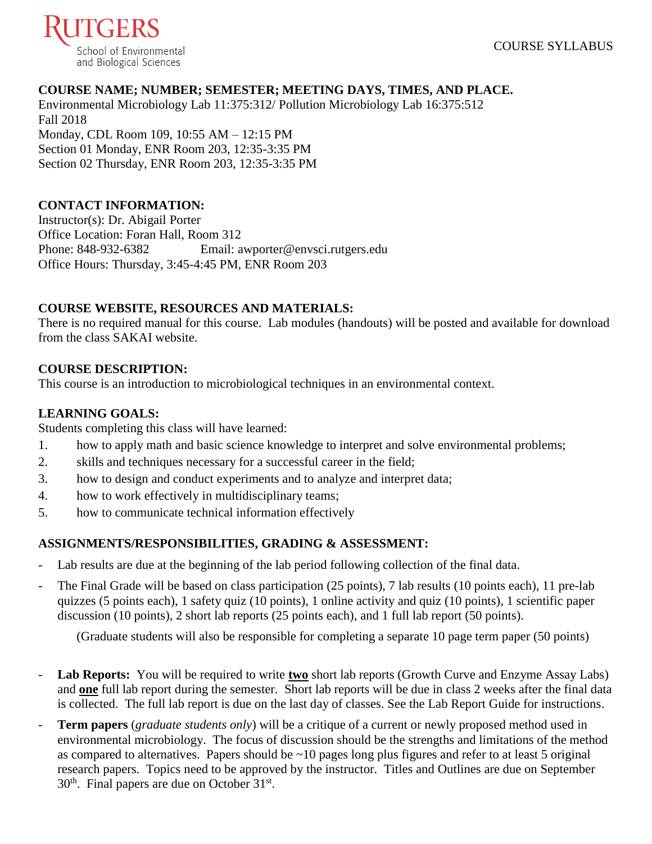

## **COURSE NAME; NUMBER; SEMESTER; MEETING DAYS, TIMES, AND PLACE.**

Environmental Microbiology Lab 11:375:312/ Pollution Microbiology Lab 16:375:512 Fall 2018 Monday, CDL Room 109, 10:55 AM – 12:15 PM Section 01 Monday, ENR Room 203, 12:35-3:35 PM Section 02 Thursday, ENR Room 203, 12:35-3:35 PM

## **CONTACT INFORMATION:**

Instructor(s): Dr. Abigail Porter Office Location: Foran Hall, Room 312<br>Phone: 848-932-6382 Email: a Email: awporter@envsci.rutgers.edu Office Hours: Thursday, 3:45-4:45 PM, ENR Room 203

## **COURSE WEBSITE, RESOURCES AND MATERIALS:**

There is no required manual for this course. Lab modules (handouts) will be posted and available for download from the class SAKAI website.

## **COURSE DESCRIPTION:**

This course is an introduction to microbiological techniques in an environmental context.

## **LEARNING GOALS:**

Students completing this class will have learned:

- 1. how to apply math and basic science knowledge to interpret and solve environmental problems;
- 2. skills and techniques necessary for a successful career in the field;
- 3. how to design and conduct experiments and to analyze and interpret data;
- 4. how to work effectively in multidisciplinary teams;
- 5. how to communicate technical information effectively

## **ASSIGNMENTS/RESPONSIBILITIES, GRADING & ASSESSMENT:**

- Lab results are due at the beginning of the lab period following collection of the final data.
- The Final Grade will be based on class participation (25 points), 7 lab results (10 points each), 11 pre-lab quizzes (5 points each), 1 safety quiz (10 points), 1 online activity and quiz (10 points), 1 scientific paper discussion (10 points), 2 short lab reports (25 points each), and 1 full lab report (50 points).

(Graduate students will also be responsible for completing a separate 10 page term paper (50 points)

- Lab Reports: You will be required to write two short lab reports (Growth Curve and Enzyme Assay Labs) and **one** full lab report during the semester. Short lab reports will be due in class 2 weeks after the final data is collected. The full lab report is due on the last day of classes. See the Lab Report Guide for instructions.
- **Term papers** (*graduate students only*) will be a critique of a current or newly proposed method used in environmental microbiology. The focus of discussion should be the strengths and limitations of the method as compared to alternatives. Papers should be ~10 pages long plus figures and refer to at least 5 original research papers. Topics need to be approved by the instructor. Titles and Outlines are due on September  $30<sup>th</sup>$ . Final papers are due on October  $31<sup>st</sup>$ .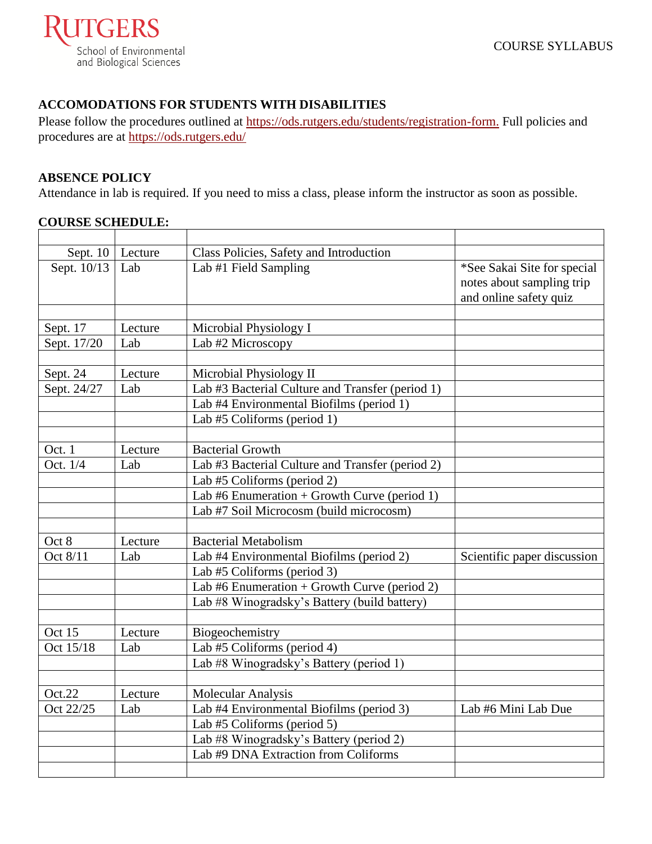

# **ACCOMODATIONS FOR STUDENTS WITH DISABILITIES**

Please follow the procedures outlined at [https://ods.rutgers.edu/students/registration-form.](https://ods.rutgers.edu/students/registration-form) Full policies and procedures are at<https://ods.rutgers.edu/>

#### **ABSENCE POLICY**

Attendance in lab is required. If you need to miss a class, please inform the instructor as soon as possible.

## **COURSE SCHEDULE:**

| Sept. 10    | Lecture | Class Policies, Safety and Introduction          |                             |
|-------------|---------|--------------------------------------------------|-----------------------------|
| Sept. 10/13 | Lab     | Lab #1 Field Sampling                            | *See Sakai Site for special |
|             |         |                                                  | notes about sampling trip   |
|             |         |                                                  | and online safety quiz      |
|             |         |                                                  |                             |
| Sept. 17    | Lecture | Microbial Physiology I                           |                             |
| Sept. 17/20 | Lab     | Lab #2 Microscopy                                |                             |
|             |         |                                                  |                             |
| Sept. 24    | Lecture | Microbial Physiology II                          |                             |
| Sept. 24/27 | Lab     | Lab #3 Bacterial Culture and Transfer (period 1) |                             |
|             |         | Lab #4 Environmental Biofilms (period 1)         |                             |
|             |         | Lab #5 Coliforms (period 1)                      |                             |
|             |         |                                                  |                             |
| Oct. 1      | Lecture | <b>Bacterial Growth</b>                          |                             |
| Oct. 1/4    | Lab     | Lab #3 Bacterial Culture and Transfer (period 2) |                             |
|             |         | Lab #5 Coliforms (period 2)                      |                             |
|             |         | Lab #6 Enumeration + Growth Curve (period 1)     |                             |
|             |         | Lab #7 Soil Microcosm (build microcosm)          |                             |
|             |         |                                                  |                             |
| Oct 8       | Lecture | <b>Bacterial Metabolism</b>                      |                             |
| Oct 8/11    | Lab     | Lab #4 Environmental Biofilms (period 2)         | Scientific paper discussion |
|             |         | Lab #5 Coliforms (period 3)                      |                             |
|             |         | Lab #6 Enumeration + Growth Curve (period 2)     |                             |
|             |         | Lab #8 Winogradsky's Battery (build battery)     |                             |
|             |         |                                                  |                             |
| Oct 15      | Lecture | Biogeochemistry                                  |                             |
| Oct 15/18   | Lab     | Lab #5 Coliforms (period 4)                      |                             |
|             |         | Lab #8 Winogradsky's Battery (period 1)          |                             |
|             |         |                                                  |                             |
| Oct.22      | Lecture | Molecular Analysis                               |                             |
| Oct 22/25   | Lab     | Lab #4 Environmental Biofilms (period 3)         | Lab #6 Mini Lab Due         |
|             |         | Lab #5 Coliforms (period 5)                      |                             |
|             |         | Lab #8 Winogradsky's Battery (period 2)          |                             |
|             |         | Lab #9 DNA Extraction from Coliforms             |                             |
|             |         |                                                  |                             |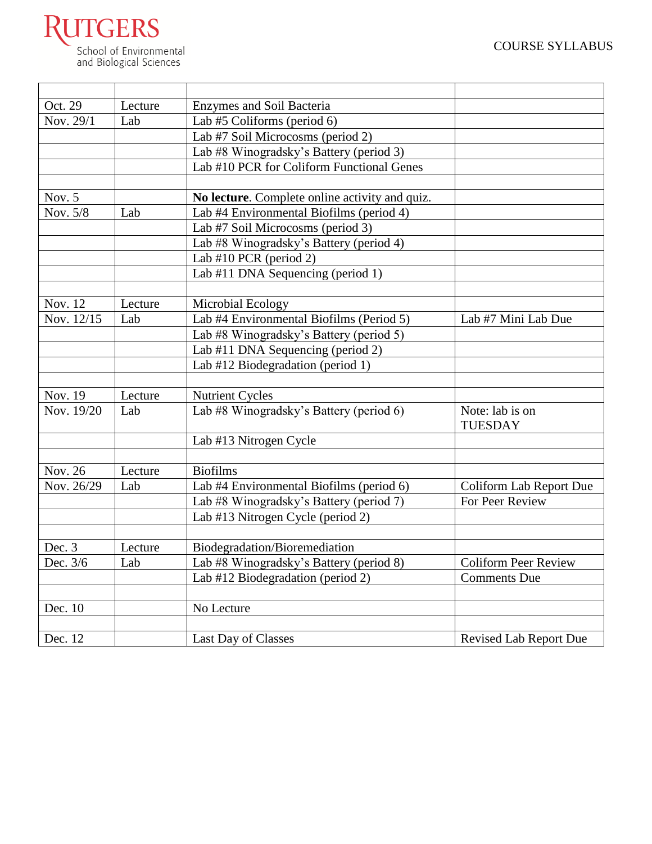

| Oct. 29               | Lecture | Enzymes and Soil Bacteria                      |                                   |
|-----------------------|---------|------------------------------------------------|-----------------------------------|
| Nov. 29/1             | Lab     | Lab #5 Coliforms (period 6)                    |                                   |
|                       |         | Lab #7 Soil Microcosms (period 2)              |                                   |
|                       |         | Lab #8 Winogradsky's Battery (period 3)        |                                   |
|                       |         | Lab #10 PCR for Coliform Functional Genes      |                                   |
|                       |         |                                                |                                   |
| Nov. $5$              |         | No lecture. Complete online activity and quiz. |                                   |
| Nov. 5/8              | Lab     | Lab #4 Environmental Biofilms (period 4)       |                                   |
|                       |         | Lab #7 Soil Microcosms (period 3)              |                                   |
|                       |         | Lab #8 Winogradsky's Battery (period 4)        |                                   |
|                       |         | Lab #10 PCR (period 2)                         |                                   |
|                       |         | Lab #11 DNA Sequencing (period 1)              |                                   |
|                       |         |                                                |                                   |
| Nov. 12               | Lecture | Microbial Ecology                              |                                   |
| Nov. 12/15            | Lab     | Lab #4 Environmental Biofilms (Period 5)       | Lab #7 Mini Lab Due               |
|                       |         | Lab #8 Winogradsky's Battery (period 5)        |                                   |
|                       |         | Lab #11 DNA Sequencing (period 2)              |                                   |
|                       |         | Lab #12 Biodegradation (period 1)              |                                   |
|                       |         |                                                |                                   |
| Nov. 19               | Lecture | <b>Nutrient Cycles</b>                         |                                   |
| Nov. 19/20            | Lab     | Lab #8 Winogradsky's Battery (period 6)        | Note: lab is on<br><b>TUESDAY</b> |
|                       |         | Lab #13 Nitrogen Cycle                         |                                   |
|                       |         |                                                |                                   |
| Nov. 26               | Lecture | <b>Biofilms</b>                                |                                   |
| Nov. 26/29            | Lab     | Lab #4 Environmental Biofilms (period 6)       | Coliform Lab Report Due           |
|                       |         | Lab #8 Winogradsky's Battery (period 7)        | For Peer Review                   |
|                       |         | Lab #13 Nitrogen Cycle (period 2)              |                                   |
|                       |         |                                                |                                   |
| Dec. 3                | Lecture | Biodegradation/Bioremediation                  |                                   |
| Dec. $\overline{3/6}$ | Lab     | Lab #8 Winogradsky's Battery (period 8)        | <b>Coliform Peer Review</b>       |
|                       |         | Lab #12 Biodegradation (period 2)              | <b>Comments Due</b>               |
|                       |         |                                                |                                   |
| Dec. 10               |         | No Lecture                                     |                                   |
|                       |         |                                                |                                   |
| Dec. 12               |         | <b>Last Day of Classes</b>                     | <b>Revised Lab Report Due</b>     |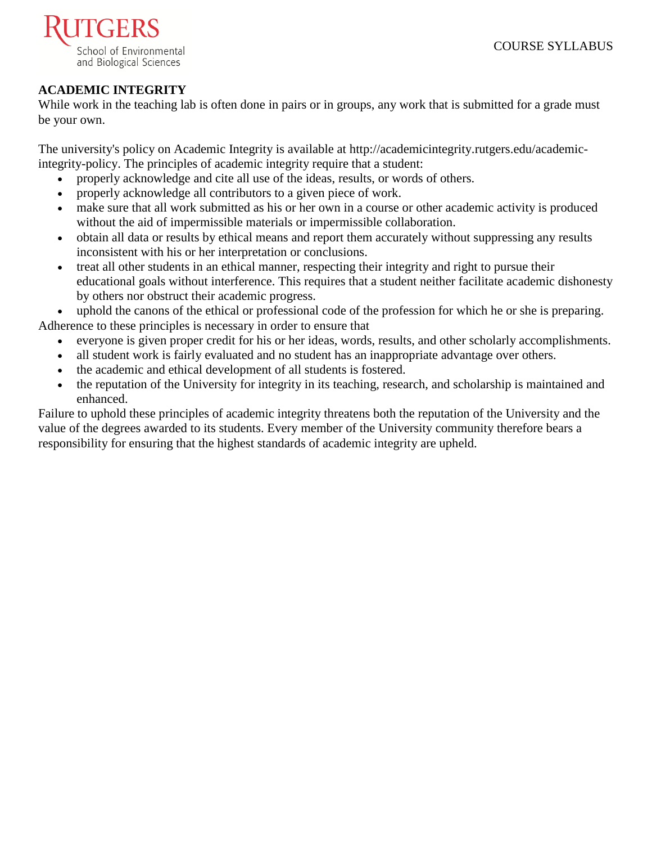

# **ACADEMIC INTEGRITY**

While work in the teaching lab is often done in pairs or in groups, any work that is submitted for a grade must be your own.

The university's policy on Academic Integrity is available at [http://academicintegrity.rutgers.edu/academic](http://academicintegrity.rutgers.edu/academic-integrity-policy)[integrity-policy.](http://academicintegrity.rutgers.edu/academic-integrity-policy) The principles of academic integrity require that a student:

- properly acknowledge and cite all use of the ideas, results, or words of others.
- properly acknowledge all contributors to a given piece of work.
- make sure that all work submitted as his or her own in a course or other academic activity is produced without the aid of impermissible materials or impermissible collaboration.
- obtain all data or results by ethical means and report them accurately without suppressing any results inconsistent with his or her interpretation or conclusions.
- treat all other students in an ethical manner, respecting their integrity and right to pursue their educational goals without interference. This requires that a student neither facilitate academic dishonesty by others nor obstruct their academic progress.

uphold the canons of the ethical or professional code of the profession for which he or she is preparing. Adherence to these principles is necessary in order to ensure that

- everyone is given proper credit for his or her ideas, words, results, and other scholarly accomplishments.
- all student work is fairly evaluated and no student has an inappropriate advantage over others.
- the academic and ethical development of all students is fostered.
- the reputation of the University for integrity in its teaching, research, and scholarship is maintained and enhanced.

Failure to uphold these principles of academic integrity threatens both the reputation of the University and the value of the degrees awarded to its students. Every member of the University community therefore bears a responsibility for ensuring that the highest standards of academic integrity are upheld.